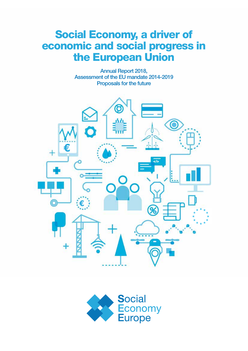## Social Economy, a driver of economic and social progress in the European Union

Annual Report 2018, Assessment of the EU mandate 2014-2019 Proposals for the future



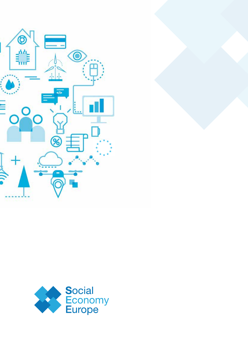

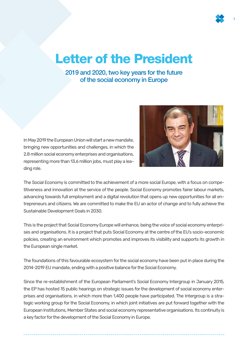## Letter of the President

2019 and 2020, two key years for the future of the social economy in Europe

In May 2019 the European Union will start a new mandate, bringing new opportunities and challenges, in which the 2.8 million social economy enterprises and organisations, representing more than 13.6 million jobs, must play a leading role.



The Social Economy is committed to the achievement of a more social Europe, with a focus on competitiveness and innovation at the service of the people. Social Economy promotes fairer labour markets, advancing towards full employment and a digital revolution that opens up new opportunities for all entrepreneurs and citizens. We are committed to make the EU an actor of change and to fully achieve the Sustainable Development Goals in 2030.

This is the project that Social Economy Europe will enhance, being the voice of social economy enterprises and organisations. It is a project that puts Social Economy at the centre of the EU's socio-economic policies, creating an environment which promotes and improves its visibility and supports its growth in the European single market.

The foundations of this favourable ecosystem for the social economy have been put in place during the 2014-2019 EU mandate, ending with a positive balance for the Social Economy.

Since the re-establishment of the European Parliament's Social Economy Intergroup in January 2015, the EP has hosted 15 public hearings on strategic issues for the development of social economy enterprises and organisations, in which more than 1,400 people have participated. The Intergroup is a strategic working group for the Social Economy, in which joint initiatives are put forward together with the European Institutions, Member States and social economy representative organisations. Its continuity is a key factor for the development of the Social Economy in Europe.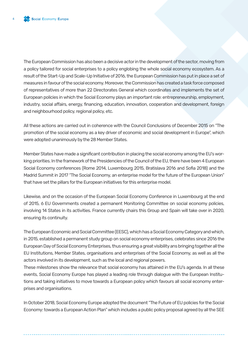The European Commission has also been a decisive actor in the development of the sector, moving from a policy tailored for social enterprises to a policy englobing the whole social economy ecosystem. As a result of the Start-Up and Scale-Up Initiative of 2016, the European Commission has put in place a set of measures in favour of the social economy. Moreover, the Commission has created a task force composed of representatives of more than 22 Directorates General which coordinates and implements the set of European policies in which the Social Economy plays an important role: entrepreneurship, employment, industry, social affairs, energy, financing, education, innovation, cooperation and development, foreign and neighbourhood policy, regional policy, etc.

All these actions are carried out in coherence with the Council Conclusions of December 2015 on "The promotion of the social economy as a key driver of economic and social development in Europe", which were adopted unanimously by the 28 Member States.

Member States have made a significant contribution in placing the social economy among the EU's working priorities. In the framework of the Presidencies of the Council of the EU, there have been 4 European Social Economy conferences (Rome 2014, Luxembourg 2015, Bratislava 2016 and Sofia 2018) and the Madrid Summit in 2017 "The Social Economy, an enterprise model for the future of the European Union" that have set the pillars for the European initiatives for this enterprise model.

Likewise, and on the occasion of the European Social Economy Conference in Luxembourg at the end of 2015, 6 EU Governments created a permanent Monitoring Committee on social economy policies, involving 14 States in its activities. France currently chairs this Group and Spain will take over in 2020, ensuring its continuity.

The European Economic and Social Committee (EESC), which has a Social Economy Category and which, in 2015, established a permanent study group on social economy enterprises, celebrates since 2016 the European Day of Social Economy Enterprises, thus ensuring a great visibility ans bringing together all the EU Institutions, Member States, organisations and enterprises of the Social Economy, as well as all the actors involved in its development, such as the local and regional powers.

These milestones show the relevance that social economy has attained in the EU's agenda. In all these events, Social Economy Europe has played a leading role through dialogue with the European Institutions and taking initiatives to move towards a European policy which favours all social economy enterprises and organisations.

In October 2018, Social Economy Europe adopted the document "The Future of EU policies for the Social Economy: towards a European Action Plan" which includes a public policy proposal agreed by all the SEE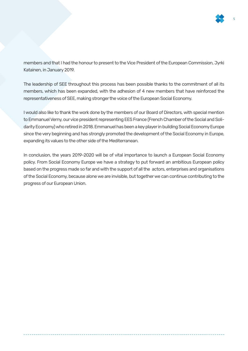

members and that I had the honour to present to the Vice President of the European Commission, Jyrki Katainen, in January 2019.

The leadership of SEE throughout this process has been possible thanks to the commitment of all its members, which has been expanded, with the adhesion of 4 new members that have reinforced the representativeness of SEE, making stronger the voice of the European Social Economy.

I would also like to thank the work done by the members of our Board of Directors, with special mention to Emmanuel Verny, our vice president representing EES France (French Chamber of the Social and Solidarity Economy) who retired in 2018. Emmanuel has been a key player in building Social Economy Europe since the very beginning and has strongly promoted the development of the Social Economy in Europe, expanding its values to the other side of the Mediterranean.

In conclusion, the years 2019-2020 will be of vital importance to launch a European Social Economy policy. From Social Economy Europe we have a strategy to put forward an ambitious European policy based on the progress made so far and with the support of all the actors, enterprises and organisations of the Social Economy, because alone we are invisible, but together we can continue contributing to the progress of our European Union.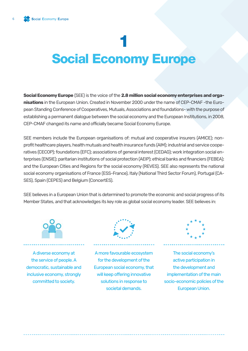# Social Economy Europe 1

**Social Economy Europe** (SEE) is the voice of the **2.8 million social economy enterprises and organisations** in the European Union. Created in November 2000 under the name of CEP-CMAF -the European Standing Conference of Cooperatives, Mutuals, Associations and foundations- with the purpose of establishing a permanent dialogue between the social economy and the European Institutions, in 2008, CEP-CMAF changed its name and officially became Social Economy Europe.

SEE members include the European organisations of: mutual and cooperative insurers (AMICE); nonprofit healthcare players, health mutuals and health insurance funds (AIM); industrial and service cooperatives (CECOP); foundations (EFC); associations of general interest (CEDAG); work integration social enterprises (ENSIE); paritarian institutions of social protection (AEIP); ethical banks and financiers (FEBEA); and the European Cities and Regions for the social economy (REVES). SEE also represents the national social economy organisations of France (ESS-France), Italy (National Third Sector Forum), Portugal (CA-SES), Spain (CEPES) and Belgium (ConcertES).

SEE believes in a European Union that is determined to promote the economic and social progress of its Member States, and that acknowledges its key role as global social economy leader. SEE believes in:



A diverse economy at the service of people. A democratic, sustainable and inclusive economy, strongly committed to society.



A more favourable ecosystem for the development of the European social economy, that will keep offering innovative solutions in response to societal demands.



The social economy's active participation in the development and implementation of the main socio-economic policies of the European Union.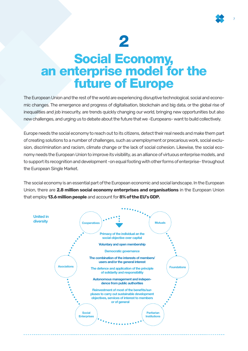

# 2

## Social Economy, an enterprise model for the future of Europe

The European Union and the rest of the world are experiencing disruptive technological, social and economic changes. The emergence and progress of digitalisation, blockchain and big data, or the global rise of inequalities and job insecurity, are trends quickly changing our world, bringing new opportunities but also new challenges, and urging us to debate about the future that we -Europeans- want to build collectively.

Europe needs the social economy to reach out to its citizens, detect their real needs and make them part of creating solutions to a number of challenges, such as unemployment or precarious work, social exclusion, discrimination and racism, climate change or the lack of social cohesion. Likewise, the social economy needs the European Union to improve its visibility, as an alliance of virtuous enterprise models, and to support its recognition and development -on equal footing with other forms of enterprise- throughout the European Single Market.

The social economy is an essential part of the European economic and social landscape. In the European Union, there are **2.8 million social economy enterprises and organisations** in the European Union that employ **13.6 million people** and account for **8% of the EU's GDP.**

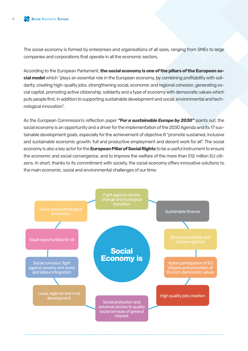The social economy is formed by enterprises and organisations of all sizes, ranging from SMEs to large companies and corporations that operate in all the economic sectors.

According to the European Parliament, **the social economy is one of the pillars of the European social model** which "plays an essential role in the European economy, by combining profitability with solidarity, creating high-quality jobs, strengthening social, economic and regional cohesion, generating social capital, promoting active citizenship, solidarity and a type of economy with democratic values which puts people first, in addition to supporting sustainable development and social, environmental and technological innovation".

As the European Commission's reflection paper *"For a sustainable Europe by 2030"* points out, the social economy is an opportunity and a driver for the implementation of the 2030 Agenda and its 17 sustainable development goals, especially for the achievement of objective 8 "promote sustained, inclusive and sustainable economic growth, full and productive employment and decent work for all". The social economy is also a key actor for the **European Pillar of Social Rights** to be a useful instrument to ensure the economic and social convergence, and to improve the welfare of the more than 512 million EU citizens. In short, thanks to its commitment with society, the social economy offers innovative solutions to the main economic, social and environmental challenges of our time:

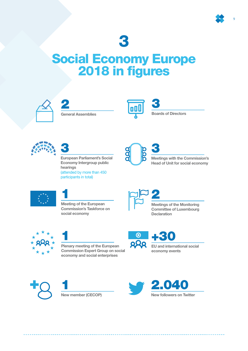

## 3

## Social Economy Europe 2018 in figures



2 General Assemblies









European Parliament's Social Economy Intergroup public hearings (attended by more than 450 participants in total)



3 Meetings with the Commission's Head of Unit for social economy



1 Meeting of the European Commission's Taskforce on social economy



#### Meetings of the Monitoring Committee of Luxembourg **Declaration**



1 Plenary meeting of the European Commission Expert Group on social economy and social enterprises

+30  $\bm{\Theta}$ 





1 New member (CECOP)

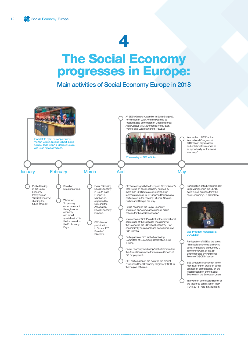## The Social Economy progresses in Europe:

Main activities of Social Economy Europe in 2018

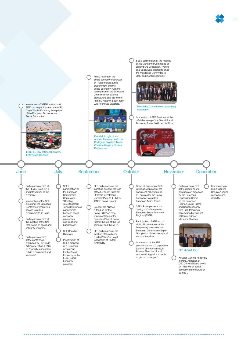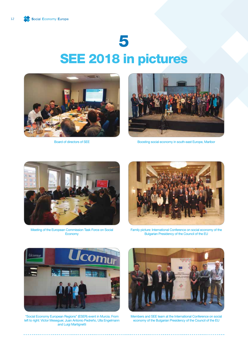# 5 SEE 2018 in pictures



Board of directors of SEE



Boosting social economy in south-east Europe, Maribor



Meeting of the European Commission Task Force on Social **Economy** 



Family picture: International Conference on social economy of the Bulgarian Presidency of the Council of the EU



"Social Economy European Regions" (ESER) event in Murcia. From left to right: Víctor Meseguer, Juan Antonio Pedreño, Ulla Engelmann and Luigi Martignetti



Members and SEE team at the International Conference on social economy of the Bulgarian Presidency of the Council of the EU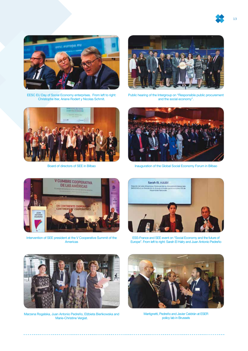



EESC EU Day of Social Economy enterprises. From left to right: Christophe Itier, Ariane Rodert y Nicolas Schmit.



Board of directors of SEE in Bilbao



Public hearing of the Intergroup on "Responsible public procurement and the social economy".



Inauguration of the Global Social Economy Forum in Bilbao



Intervention of SEE president at the V Cooperative Summit of the Americas



ESS-France and SEE event on "Social Economy and the future of Europe". From left to right: Sarah El Haïry and Juan Antonio Pedreño



Marzena Rogalska, Juan Antonio Pedreño, Elżbieta Bieńkowska and Marie-Christine Vergiat.



Martignetti, Pedreño and Javier Celdrán at ESER policy lab in Brussels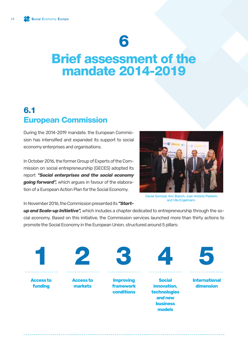## Brief assessment of the mandate 2014-2019

### 6.1 European Commission

During the 2014-2019 mandate, the European Commission has intensified and expanded its support to social economy enterprises and organisations.

In October 2016, the former Group of Experts of the Commission on social entrepreneurship (GECES) adopted its report *"Social enterprises and the social economy going forward",* which argues in favour of the elaboration of a European Action Plan for the Social Economy.



Daniel Sorrosal, Ann Branch, Juan Antonio Pedreño and Ulla Engelmann.

In November 2016, the Commission presented its *"Start-*

*up and Scale-up Initiative",* which includes a chapter dedicated to entrepreneurship through the social economy. Based on this initiative, the Commission services launched more than thirty actions to promote the Social Economy in the European Union, structured around 5 pillars:

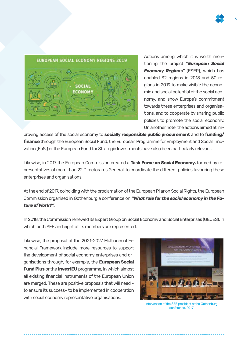

Actions among which it is worth mentioning the project *"European Social Economy Regions"* (ESER), which has enabled 32 regions in 2018 and 50 regions in 2019 to make visible the economic and social potential of the social economy, and show Europe's commitment towards these enterprises and organisations, and to cooperate by sharing public policies to promote the social economy. On another note, the actions aimed at im-

proving access of the social economy to **socially responsible public procurement** and to **funding/ finance** through the European Social Fund, the European Programme for Employment and Social Innovation (EaSI) or the European Fund for Strategic Investments have also been particularly relevant.

Likewise, in 2017 the European Commission created a **Task Force on Social Economy,** formed by representatives of more than 22 Directorates General, to coordinate the different policies favouring these enterprises and organisations.

At the end of 2017, coinciding with the proclamation of the European Pilar on Social Rights, the European Commission organised in Gothenburg a conference on *"What role for the social economy in the Future of Work?".* 

In 2018, the Commission renewed its Expert Group on Social Economy and Social Enterprises (GECES), in which both SEE and eight of its members are represented.

Likewise, the proposal of the 2021-2027 Multiannual Financial Framework include more resources to support the development of social economy enterprises and organisations through, for example, the **European Social Fund Plus** or the **InvestEU** programme, in which almost all existing financial instruments of the European Union are merged. These are positive proposals that will need to ensure its success– to be implemented in cooperation with social economy representative organisations.



Intervention of the SEE president at the Gothenburg conference, 2017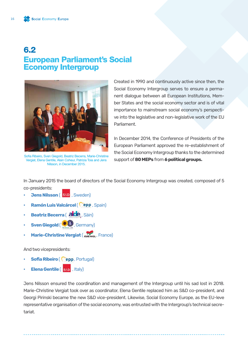### 6.2 European Parliament's Social Economy Intergroup



Sofia Ribeiro, Sven Giegold, Beatriz Becerra, Marie-Christine Vergiat, Elena Gentile, Alain Coheur, Patrizia Toia and Jens Nilsson, in December 2015.

Created in 1990 and continuously active since then, the Social Economy Intergroup serves to ensure a permanent dialogue between all European Institutions, Member States and the social economy sector and is of vital importance to mainstream social economy's perspective into the legislative and non-legislative work of the EU Parliament.

In December 2014, the Conference of Presidents of the European Parliament approved the re-establishment of the Social Economy Intergroup thanks to the determined support of **80 MEPs** from **6 political groups.**

In January 2015 the board of directors of the Social Economy Intergroup was created, composed of 5

co-presidents:

- *<u>Jens Nilsson ( S&D</u> , Sweden)*
- **Ramón Luis Valcárcel ( epp**, Spain)
- **Beatriz Becerra ( alde** , Sàin)
- **Sven Giegold (**  $\bullet$  $\bullet$  , Germany)
- **Marie-Christine Vergiat ( GUENGL, France)**

And two vicepresidents:

- **Sofia Ribeiro (Cepp, Portugal)**
- **Elena Gentile ( S&D** , Italy)

Jens Nilsson ensured the coordination and management of the Intergroup until his sad lost in 2018. Marie-Christine Vergiat took over as coordinator, Elena Gentile replaced him as S&D co-president, and Georgi Pirinski became the new S&D vice-president. Likewise, Social Economy Europe, as the EU-leve representative organisation of the social economy, was entrusted with the Intergroup's technical secretariat.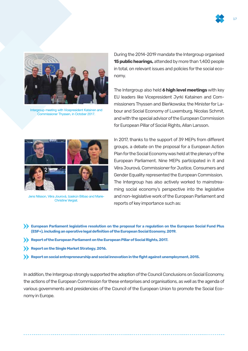



Intergroup meeting with Vicepresident Katainen and Commissioner Thyssen, in October 2017.

During the 2014-2019 mandate the Intergroup organised **15 public hearings,** attended by more than 1,400 people in total, on relevant issues and policies for the social economy.

The Intergroup also held **6 high level meetings** with key EU leaders like Vicepresident Jyrki Katainen and Commissioners Thyssen and Bieńkowska; the Minister for Labour and Social Economy of Luxemburg, Nicolas Schmit, and with the special advisor of the European Commission for European Pillar of Social Rights, Allan Larsson.



Jens Nilsson, Věra Jourová, Izaskún Bilbao and Marie-Christine Vergiat.

In 2017, thanks to the support of 39 MEPs from different groups, a debate on the proposal for a European Action Plan for the Social Economy was held at the plenary of the European Parliament. Nine MEPs participated in it and Věra Jourová, Commissioner for Justice, Consumers and Gender Equality represented the European Commission. The Intergroup has also actively worked to mainstreaming social economy's perspective into the legislative and non-legislative work of the European Parliament and reports of key importance such as:

**European Parliament legislative resolution on the proposal for a regulation on the European Social Fund Plus (ESF+), including an operative legal definition of the European Social Economy, 2019.** 

- **Report of the European Parliament on the European Pillar of Social Rights, 2017.**
- **Report on the Single Market Strategy, 2016.**
- **Exercise 3 Report on social entrepreneurship and social innovation in the fight against unemployment, 2015.**

In addition, the Intergroup strongly supported the adoption of the Council Conclusions on Social Economy, the actions of the European Commission for these enterprises and organisations, as well as the agenda of various governments and presidencies of the Council of the European Union to promote the Social Economy in Europe.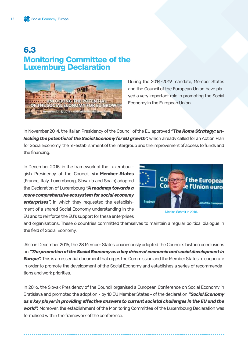### 6.3 Monitoring Committee of the Luxemburg Declaration



During the 2014-2019 mandate, Member States and the Council of the European Union have played a very important role in promoting the Social Economy in the European Union.

In November 2014, the Italian Presidency of the Council of the EU approved *"The Rome Strategy: unlocking the potential of the Social Economy for EU growth",* **which already called for an Action Plan** for Social Economy, the re-establishment of the Intergroup and the improvement of access to funds and the financing.

In December 2015, in the framework of the Luxembourgish Presidency of the Council, **six Member States** (France, Italy, Luxembourg, Slovakia and Spain) adopted the Declaration of Luxembourg *"A roadmap towards a more comprehensive ecosystem for social economy enterprises",* in which they requested the establishment of a shared Social Economy understanding in the EU and to reinforce the EU's support for these enterprises



Nicolas Schmit in 2015.

and organisations. These 6 countries committed themselves to maintain a regular political dialogue in the field of Social Economy.

 Also in December 2015, the 28 Member States unanimously adopted the Council's historic conclusions on *"The promotion of the Social Economy as a key driver of economic and social development in Europe".* This is an essential document that urges the Commission and the Member States to cooperate in order to promote the development of the Social Economy and establishes a series of recommendations and work priorities.

In 2016, the Slovak Presidency of the Council organised a European Conference on Social Economy in Bratislava and promoted the adoption - by 10 EU Member States - of the declaration *"Social Economy as a key player in providing effective answers to current societal challenges in the EU and the world".* Moreover, the establishment of the Monitoring Committee of the Luxembourg Declaration was formalised within the framework of the conference.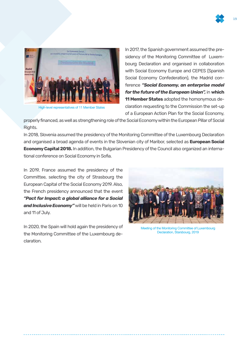



High-level representatives of 11 Member States

In 2017, the Spanish government assumed the presidency of the Monitoring Committee of Luxembourg Declaration and organised in collaboration with Social Economy Europe and CEPES (Spanish Social Economy Confederation), the Madrid conference *"Social Economy, an enterprise model for the future of the European Union",* in **which 11 Member States** adopted the homonymous declaration requesting to the Commission the set-up of a European Action Plan for the Social Economy,

properly financed, as well as strengthening role of the Social Economy within the European Pillar of Social Rights.

In 2018, Slovenia assumed the presidency of the Monitoring Committee of the Luxembourg Declaration and organised a broad agenda of events in the Slovenian city of Maribor, selected as **European Social Economy Capital 2018.** In addition, the Bulgarian Presidency of the Council also organized an international conference on Social Economy in Sofia.

In 2019, France assumed the presidency of the Committee, selecting the city of Strasbourg the European Capital of the Social Economy 2019. Also, the French presidency announced that the event *"Pact for Impact: a global alliance for a Social and Inclusive Economy"* will be held in Paris on 10 and 11 of July.

In 2020, the Spain will hold again the presidency of the Monitoring Committee of the Luxembourg declaration.



Meeting of the Monitoring Committee of Luxembourg Declaration, Starsbourg, 2019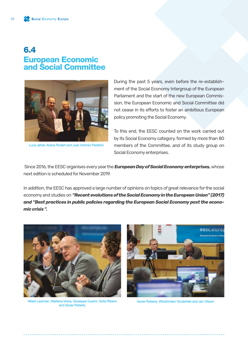### 6.4 European Economic and Social Committee



Luca Jahier, Ariane Rodert and Juan Antonio Pedreño

During the past 5 years, even before the re-establishment of the Social Economy Intergroup of the European Parliament and the start of the new European Commission, the European Economic and Social Committee did not cease in its efforts to foster an ambitious European policy promoting the Social Economy.

To this end, the EESC counted on the work carried out by its Social Economy category, formed by more than 80 members of the Committee, and of its study group on Social Economy enterprises.

 Since 2016, the EESC organises every year the *European Day of Social Economy enterprises,* whose next edition is scheduled for November 2019.

In addition, the EESC has approved a large number of opinions on topics of great relevance for the social economy and studies on *"Recent evolutions of the Social Economy in the European Union" (2017) and "Best practices in public policies regarding the European Social Economy post the economic crisis ".*



Albert Lautman, Marilena Vrana, Giuseppe Guerini, Sofia Ribeiro and Xavier Roberty



Xavier Roberty, Wlodzimierz Grudziński and Jan Olsson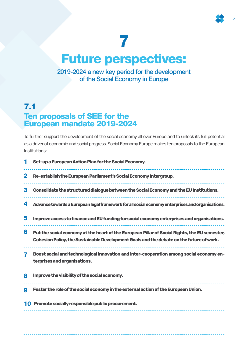## Future perspectives:

2019-2024 a new key period for the development of the Social Economy in Europe

### 7.1 Ten proposals of SEE for the European mandate 2019-2024

To further support the development of the social economy all over Europe and to unlock its full potential as a driver of economic and social progress, Social Economy Europe makes ten proposals to the European Institutions:

|    | Set-up a European Action Plan for the Social Economy.                                                                                                                                     |
|----|-------------------------------------------------------------------------------------------------------------------------------------------------------------------------------------------|
| 2  | Re-establish the European Parliament's Social Economy Intergroup.                                                                                                                         |
| 3  | Consolidate the structured dialogue between the Social Economy and the EU Institutions.                                                                                                   |
| 4  | Advance towards a European legal framework for all social economy enterprises and organisations.                                                                                          |
| 5  | Improve access to finance and EU funding for social economy enterprises and organisations.                                                                                                |
| 6  | Put the social economy at the heart of the European Pillar of Social Rights, the EU semester,<br>Cohesion Policy, the Sustainable Development Goals and the debate on the future of work. |
|    | Boost social and technological innovation and inter-cooperation among social economy en-<br>terprises and organisations.                                                                  |
| 8  | Improve the visibility of the social economy.                                                                                                                                             |
| 9  | Foster the role of the social economy in the external action of the European Union.                                                                                                       |
| 10 | Promote socially responsible public procurement.                                                                                                                                          |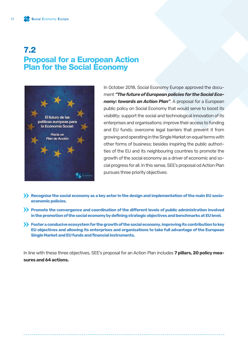### 7.2 Proposal for a European Action Plan for the Social Economy



In October 2018, Social Economy Europe approved the document *"The future of European policies for the Social Economy: towards an Action Plan"*. A proposal for a European public policy on Social Economy that would serve to boost its visibility; support the social and technological innovation of its enterprises and organisations; improve their access to funding and EU funds; overcome legal barriers that prevent it from growing and operating in the Single Market on equal terms with other forms of business; besides inspiring the public authorities of the EU and its neighbouring countries to promote the growth of the social economy as a driver of economic and social progress for all. In this sense, SEE's proposal od Action Plan pursues three priority objectives:

- **Example 20 Kecognise the social economy as a key actor in the design and implementation of the main EU socioeconomic policies.**
- **Promote the convergence and coordination of the different levels of public administration involved in the promotion of the social economy by defining strategic objectives and benchmarks at EU level.**
- **Foster a conducive ecosystem for the growth of the social economy, improving its contribution to key EU objectives and allowing its enterprises and organisations to take full advantage of the European Single Market and EU funds and financial instruments.**

In line with these three objectives, SEE's proposal for an Action Plan includes **7 pillars, 20 policy measures and 64 actions.**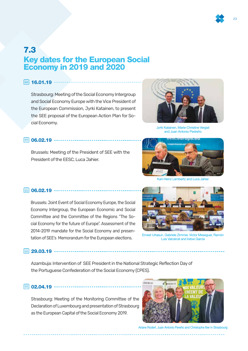

### 7.3 Key dates for the European Social Economy in 2019 and 2020

16.01.19 ------------

Strasbourg: Meeting of the Social Economy Intergroup and Social Economy Europe with the Vice President of the European Commission, Jyrki Katainen, to present the SEE proposal of the European Action Plan for Social Economy.



Jyrki Katainen, Marie-Christine Vergiat and Juan Antonio Pedreño

#### 106.02.19 ----------------------------

Brussels: Meeting of the President of SEE with the President of the EESC, Luca Jahier.



Karl-Heinz Lambertz and Luca Jahier

11 06.02.19 -------------------------------

Brussels: Joint Event of Social Economy Europe, the Social Economy Intergroup, the European Economic and Social Committee and the Committee of the Regions "The Social Economy for the future of Europe". Assessment of the 2014-2019 mandate for the Social Economy and presentation of SEE's Memorandum for the European elections.



Ernest Urtasun, Gabriele Zimmer, Víctor Meseguer, Ramón Luis Valcárcel and Iratxe García

129.03.19 --------------------

Azambuja: Intervention of SEE President in the National Strategic Reflection Day of the Portuguese Confederation of the Social Economy (CPES).

11 02.04.19 ---------------------

Strasbourg: Meeting of the Monitoring Committee of the Declaration of Luxembourg and presentation of Strasbourg as the European Capital of the Social Economy 2019.



Ariane Rodert, Juan Antonio Pereño and Christophe Itier in Strasbourg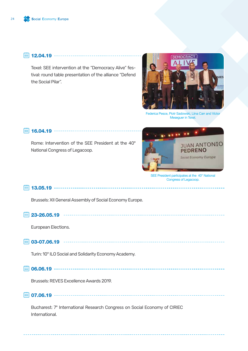12.04.19 ------------------------------

Texel: SEE intervention at the "Democracy Alive" festival: round table presentation of the alliance "Defend the Social Pilar".



Federica Pesce, Piotr Sadowski, Liina Carr and Víctor Meseguer in Texel.

#### 16.04.19

Rome: Intervention of the SEE President at the 40° National Congress of Legacoop.



SEE President participates at the 40° National Congress of Legacoop.

#### 13.05.19

Brussels: XII General Assembly of Social Economy Europe.

23-26.05.19

European Elections.

03-07.06.19

Turin: 10° ILO Social and Solidarity Economy Academy.

06.06.19

Brussels: REVES Excellence Awards 2019.

07.06.19

Bucharest: 7° International Research Congress on Social Economy of CIRIEC International.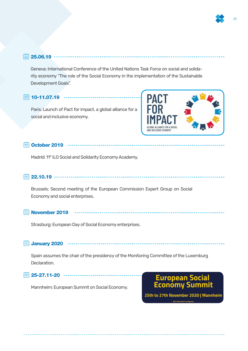#### $\overline{iii}$  25.06.19  $-$

Geneva: International Conference of the United Nations Task Force on social and solidarity economy "The role of the Social Economy in the implementation of the Sustainable Development Goals".

\_\_\_\_\_\_\_\_\_\_\_\_\_\_\_\_\_\_\_\_

#### 10-11.07.19 ---------------

Paris: Launch of Pact for impact, a global alliance for a social and inclusive economy.



#### **iii)** October 2019 ------

Madrid: 11° ILO Social and Solidarity Economy Academy.

#### 22.10.19

Brussels: Second meeting of the European Commission Expert Group on Social Economy and social enterprises.

#### **November 2019**

Strasburg: European Day of Social Economy enterprises.

### January 2020

Spain assumes the chair of the presidency of the Monitoring Committee of the Luxemburg Declaration.

125-27.11-20 --------------

Mannheim: European Summit on Social Economy.

### **European Social Economy Summit**

25th to 27th November 2020 | Mannheim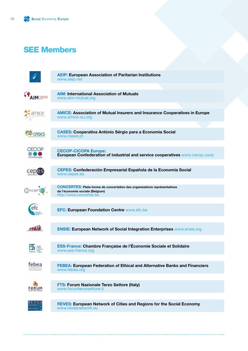### SEE Members

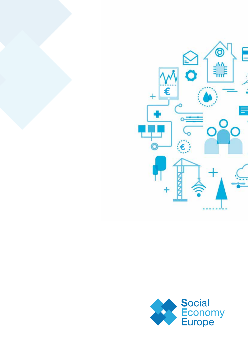